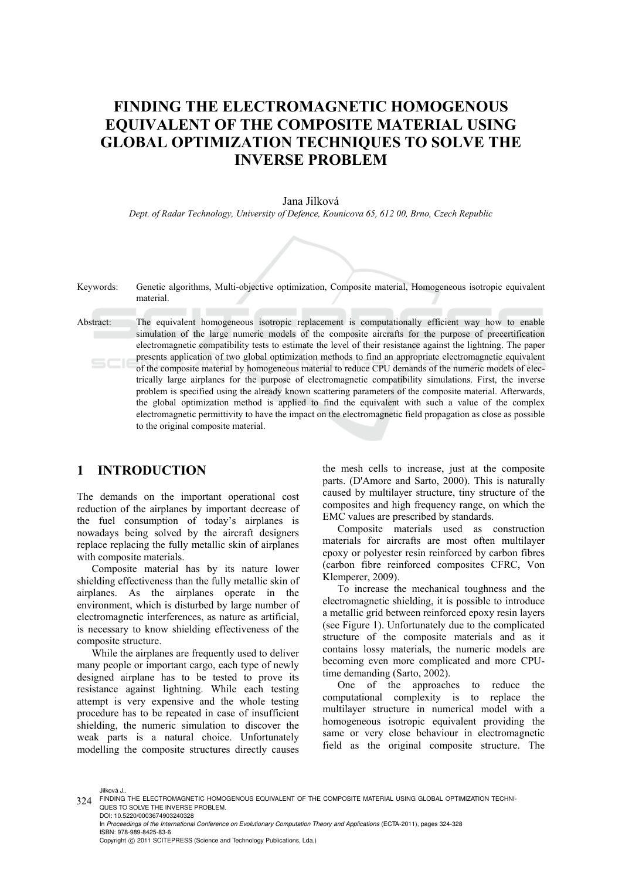# **FINDING THE ELECTROMAGNETIC HOMOGENOUS EQUIVALENT OF THE COMPOSITE MATERIAL USING GLOBAL OPTIMIZATION TECHNIQUES TO SOLVE THE INVERSE PROBLEM**

#### Jana Jilková

*Dept. of Radar Technology, University of Defence, Kounicova 65, 612 00, Brno, Czech Republic* 

Keywords: Genetic algorithms, Multi-objective optimization, Composite material, Homogeneous isotropic equivalent material.

**Contract Contract** 

Abstract: The equivalent homogeneous isotropic replacement is computationally efficient way how to enable simulation of the large numeric models of the composite aircrafts for the purpose of precertification electromagnetic compatibility tests to estimate the level of their resistance against the lightning. The paper presents application of two global optimization methods to find an appropriate electromagnetic equivalent of the composite material by homogeneous material to reduce CPU demands of the numeric models of electrically large airplanes for the purpose of electromagnetic compatibility simulations. First, the inverse problem is specified using the already known scattering parameters of the composite material. Afterwards, the global optimization method is applied to find the equivalent with such a value of the complex electromagnetic permittivity to have the impact on the electromagnetic field propagation as close as possible to the original composite material.

## **1 INTRODUCTION**

The demands on the important operational cost reduction of the airplanes by important decrease of the fuel consumption of today's airplanes is nowadays being solved by the aircraft designers replace replacing the fully metallic skin of airplanes with composite materials.

Composite material has by its nature lower shielding effectiveness than the fully metallic skin of airplanes. As the airplanes operate in the environment, which is disturbed by large number of electromagnetic interferences, as nature as artificial, is necessary to know shielding effectiveness of the composite structure.

While the airplanes are frequently used to deliver many people or important cargo, each type of newly designed airplane has to be tested to prove its resistance against lightning. While each testing attempt is very expensive and the whole testing procedure has to be repeated in case of insufficient shielding, the numeric simulation to discover the weak parts is a natural choice. Unfortunately modelling the composite structures directly causes

the mesh cells to increase, just at the composite parts. (D'Amore and Sarto, 2000). This is naturally caused by multilayer structure, tiny structure of the composites and high frequency range, on which the EMC values are prescribed by standards.

Composite materials used as construction materials for aircrafts are most often multilayer epoxy or polyester resin reinforced by carbon fibres (carbon fibre reinforced composites CFRC, Von Klemperer, 2009).

To increase the mechanical toughness and the electromagnetic shielding, it is possible to introduce a metallic grid between reinforced epoxy resin layers (see Figure 1). Unfortunately due to the complicated structure of the composite materials and as it contains lossy materials, the numeric models are becoming even more complicated and more CPUtime demanding (Sarto, 2002).

One of the approaches to reduce the computational complexity is to replace the multilayer structure in numerical model with a homogeneous isotropic equivalent providing the same or very close behaviour in electromagnetic field as the original composite structure. The

Jilková J..

<sup>324</sup> FINDING THE ELECTROMAGNETIC HOMOGENOUS EQUIVALENT OF THE COMPOSITE MATERIAL USING GLOBAL OPTIMIZATION TECHNI-QUES TO SOLVE THE INVERSE PROBLEM. DOI: 10.5220/0003674903240328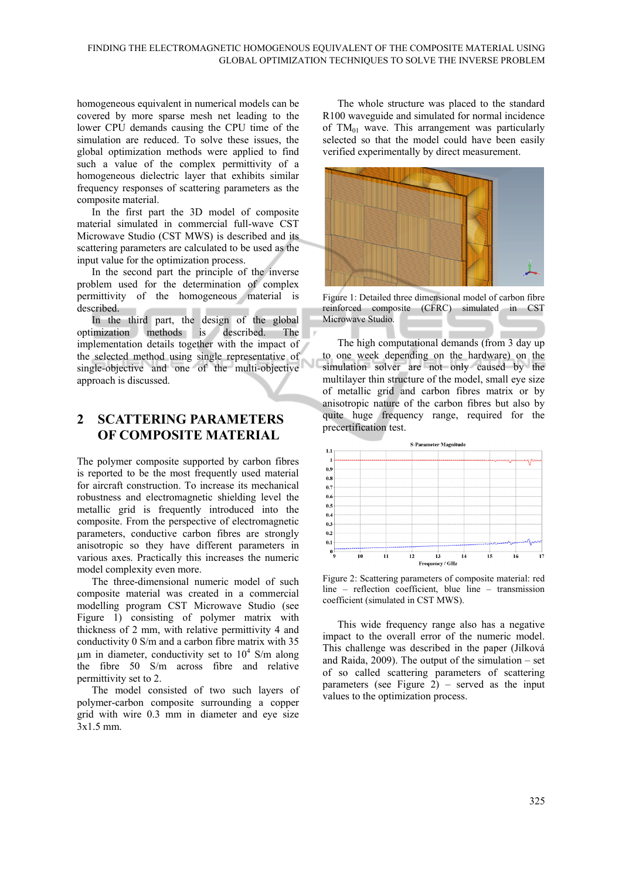homogeneous equivalent in numerical models can be covered by more sparse mesh net leading to the lower CPU demands causing the CPU time of the simulation are reduced. To solve these issues, the global optimization methods were applied to find such a value of the complex permittivity of a homogeneous dielectric layer that exhibits similar frequency responses of scattering parameters as the composite material.

In the first part the 3D model of composite material simulated in commercial full-wave CST Microwave Studio (CST MWS) is described and its scattering parameters are calculated to be used as the input value for the optimization process.

In the second part the principle of the inverse problem used for the determination of complex permittivity of the homogeneous material is described.

In the third part, the design of the global optimization methods is described. The implementation details together with the impact of the selected method using single representative of single-objective and one of the multi-objective approach is discussed.

# **2 SCATTERING PARAMETERS OF COMPOSITE MATERIAL**

The polymer composite supported by carbon fibres is reported to be the most frequently used material for aircraft construction. To increase its mechanical robustness and electromagnetic shielding level the metallic grid is frequently introduced into the composite. From the perspective of electromagnetic parameters, conductive carbon fibres are strongly anisotropic so they have different parameters in various axes. Practically this increases the numeric model complexity even more.

The three-dimensional numeric model of such composite material was created in a commercial modelling program CST Microwave Studio (see Figure 1) consisting of polymer matrix with thickness of 2 mm, with relative permittivity 4 and conductivity 0 S/m and a carbon fibre matrix with 35  $\mu$ m in diameter, conductivity set to 10<sup>4</sup> S/m along the fibre 50 S/m across fibre and relative permittivity set to 2.

The model consisted of two such layers of polymer-carbon composite surrounding a copper grid with wire 0.3 mm in diameter and eye size 3x1.5 mm.

The whole structure was placed to the standard R100 waveguide and simulated for normal incidence of  $TM_{01}$  wave. This arrangement was particularly selected so that the model could have been easily verified experimentally by direct measurement.



Figure 1: Detailed three dimensional model of carbon fibre reinforced composite (CFRC) simulated in CST Microwave Studio.

The high computational demands (from 3 day up to one week depending on the hardware) on the simulation solver are not only caused by the multilayer thin structure of the model, small eye size of metallic grid and carbon fibres matrix or by anisotropic nature of the carbon fibres but also by quite huge frequency range, required for the precertification test.



Figure 2: Scattering parameters of composite material: red line – reflection coefficient, blue line – transmission coefficient (simulated in CST MWS).

This wide frequency range also has a negative impact to the overall error of the numeric model. This challenge was described in the paper (Jilková and Raida, 2009). The output of the simulation – set of so called scattering parameters of scattering parameters (see Figure 2) – served as the input values to the optimization process.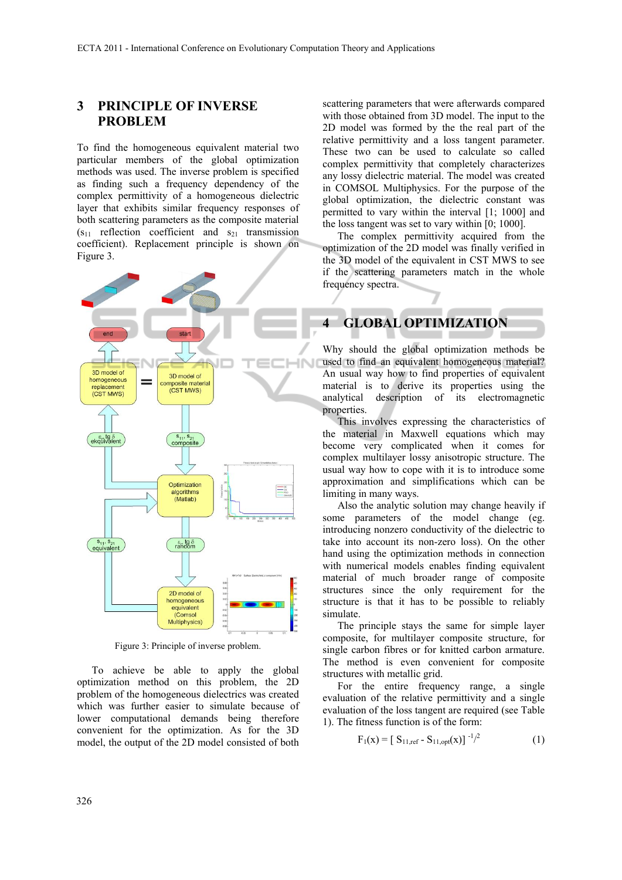## **3 PRINCIPLE OF INVERSE PROBLEM**

To find the homogeneous equivalent material two particular members of the global optimization methods was used. The inverse problem is specified as finding such a frequency dependency of the complex permittivity of a homogeneous dielectric layer that exhibits similar frequency responses of both scattering parameters as the composite material  $(s<sub>11</sub>$  reflection coefficient and  $s<sub>21</sub>$  transmission coefficient). Replacement principle is shown on Figure 3.



Figure 3: Principle of inverse problem.

To achieve be able to apply the global optimization method on this problem, the 2D problem of the homogeneous dielectrics was created which was further easier to simulate because of lower computational demands being therefore convenient for the optimization. As for the 3D model, the output of the 2D model consisted of both

scattering parameters that were afterwards compared with those obtained from 3D model. The input to the 2D model was formed by the the real part of the relative permittivity and a loss tangent parameter. These two can be used to calculate so called complex permittivity that completely characterizes any lossy dielectric material. The model was created in COMSOL Multiphysics. For the purpose of the global optimization, the dielectric constant was permitted to vary within the interval [1; 1000] and the loss tangent was set to vary within [0; 1000].

The complex permittivity acquired from the optimization of the 2D model was finally verified in the 3D model of the equivalent in CST MWS to see if the scattering parameters match in the whole frequency spectra.

## **4 GLOBAL OPTIMIZATION**

Why should the global optimization methods be used to find an equivalent homogeneous material? An usual way how to find properties of equivalent material is to derive its properties using the analytical description of its electromagnetic properties.

This involves expressing the characteristics of the material in Maxwell equations which may become very complicated when it comes for complex multilayer lossy anisotropic structure. The usual way how to cope with it is to introduce some approximation and simplifications which can be limiting in many ways.

Also the analytic solution may change heavily if some parameters of the model change (eg. introducing nonzero conductivity of the dielectric to take into account its non-zero loss). On the other hand using the optimization methods in connection with numerical models enables finding equivalent material of much broader range of composite structures since the only requirement for the structure is that it has to be possible to reliably simulate.

The principle stays the same for simple layer composite, for multilayer composite structure, for single carbon fibres or for knitted carbon armature. The method is even convenient for composite structures with metallic grid.

For the entire frequency range, a single evaluation of the relative permittivity and a single evaluation of the loss tangent are required (see Table 1). The fitness function is of the form:

$$
F_1(x) = [S_{11,ref} - S_{11,opt}(x)]^{-1/2}
$$
 (1)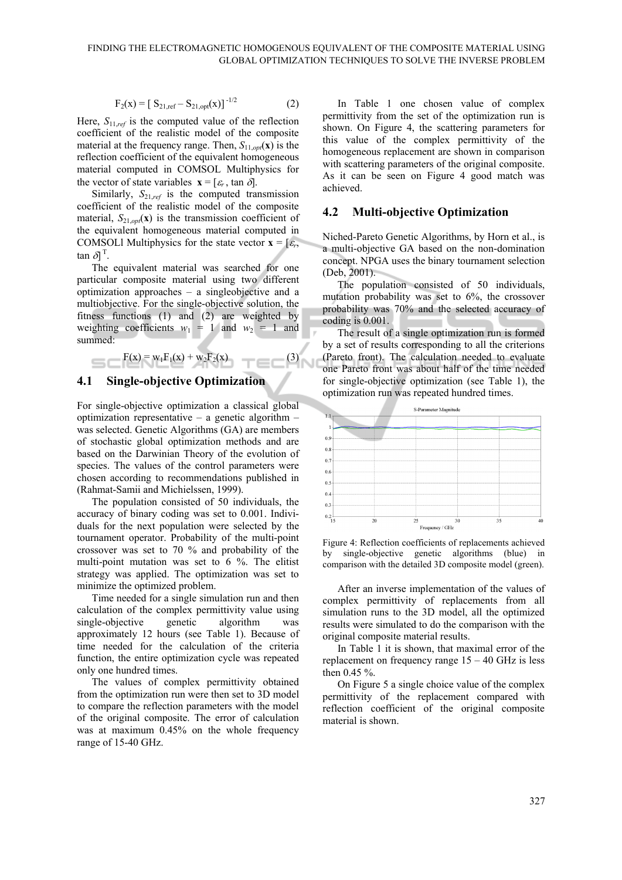$$
F_2(x) = [S_{21,ref} - S_{21,opt}(x)]^{-1/2}
$$
 (2)

Here, *S*11,*ref* is the computed value of the reflection coefficient of the realistic model of the composite material at the frequency range. Then,  $S_{11, \text{opt}}(\mathbf{x})$  is the reflection coefficient of the equivalent homogeneous material computed in COMSOL Multiphysics for the vector of state variables  $\mathbf{x} = [\varepsilon_r, \tan \delta].$ 

Similarly,  $S_{21,ref}$  is the computed transmission coefficient of the realistic model of the composite material,  $S_{21,opt}(\mathbf{x})$  is the transmission coefficient of the equivalent homogeneous material computed in COMSOLI Multiphysics for the state vector  $\mathbf{x} = [\varepsilon_r, \mathbf{x}]$  $\tan \delta$ <sup>T</sup>.

The equivalent material was searched for one particular composite material using two different optimization approaches – a singleobjective and a multiobjective. For the single-objective solution, the fitness functions (1) and (2) are weighted by weighting coefficients  $w_1 = 1$  and  $w_2 = 1$  and summed:

$$
F(x) = w_1 F_1(x) + w_2 F_2(x)
$$
 (3)

#### **4.1 Single-objective Optimization**

For single-objective optimization a classical global optimization representative – a genetic algorithm – was selected. Genetic Algorithms (GA) are members of stochastic global optimization methods and are based on the Darwinian Theory of the evolution of species. The values of the control parameters were chosen according to recommendations published in (Rahmat-Samii and Michielssen, 1999).

The population consisted of 50 individuals, the accuracy of binary coding was set to 0.001. Individuals for the next population were selected by the tournament operator. Probability of the multi-point crossover was set to 70 % and probability of the multi-point mutation was set to 6 %. The elitist strategy was applied. The optimization was set to minimize the optimized problem.

Time needed for a single simulation run and then calculation of the complex permittivity value using single-objective genetic algorithm was approximately 12 hours (see Table 1). Because of time needed for the calculation of the criteria function, the entire optimization cycle was repeated only one hundred times.

The values of complex permittivity obtained from the optimization run were then set to 3D model to compare the reflection parameters with the model of the original composite. The error of calculation was at maximum 0.45% on the whole frequency range of 15-40 GHz.

In Table 1 one chosen value of complex permittivity from the set of the optimization run is shown. On Figure 4, the scattering parameters for this value of the complex permittivity of the homogeneous replacement are shown in comparison with scattering parameters of the original composite. As it can be seen on Figure 4 good match was achieved.

### **4.2 Multi-objective Optimization**

Niched-Pareto Genetic Algorithms, by Horn et al., is a multi-objective GA based on the non-domination concept. NPGA uses the binary tournament selection (Deb, 2001).

The population consisted of 50 individuals, mutation probability was set to 6%, the crossover probability was 70% and the selected accuracy of coding is 0.001.

The result of a single optimization run is formed by a set of results corresponding to all the criterions (Pareto front). The calculation needed to evaluate one Pareto front was about half of the time needed for single-objective optimization (see Table 1), the optimization run was repeated hundred times.



Figure 4: Reflection coefficients of replacements achieved by single-objective genetic algorithms (blue) in comparison with the detailed 3D composite model (green).

After an inverse implementation of the values of complex permittivity of replacements from all simulation runs to the 3D model, all the optimized results were simulated to do the comparison with the original composite material results.

In Table 1 it is shown, that maximal error of the replacement on frequency range  $15 - 40$  GHz is less then 0.45 %.

On Figure 5 a single choice value of the complex permittivity of the replacement compared with reflection coefficient of the original composite material is shown.